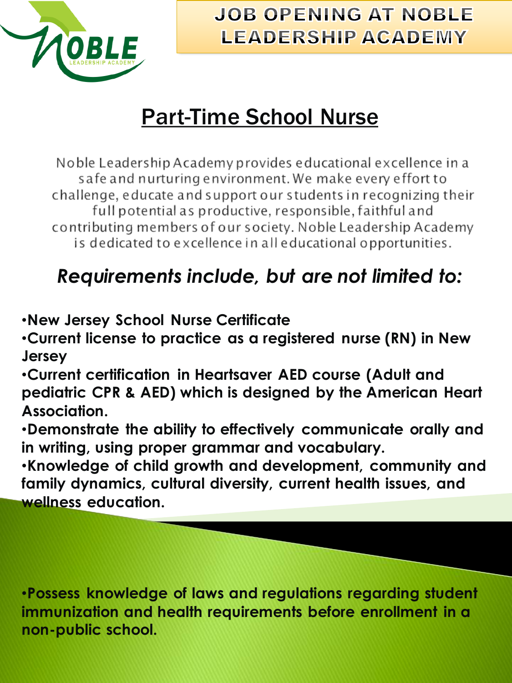

### **JOB OPENING AT NOBLE LEADERSHIP ACADEMY**

# Part-Time School Nurse

Noble Leadership Academy provides educational excellence in a safe and nurturing environment. We make every effort to challenge, educate and support our students in recognizing their full potential as productive, responsible, faithful and contributing members of our society. Noble Leadership Academy is dedicated to excellence in all educational opportunities.

## *Requirements include, but are not limited to:*

•**New Jersey School Nurse Certificate**

•**Current license to practice as a registered nurse (RN) in New Jersey**

•**Current certification in Heartsaver AED course (Adult and pediatric CPR & AED) which is designed by the American Heart Association.**

•**Demonstrate the ability to effectively communicate orally and in writing, using proper grammar and vocabulary.**

•**Knowledge of child growth and development, community and family dynamics, cultural diversity, current health issues, and wellness education.**

•**Possess knowledge of laws and regulations regarding student immunization and health requirements before enrollment in a non-public school.**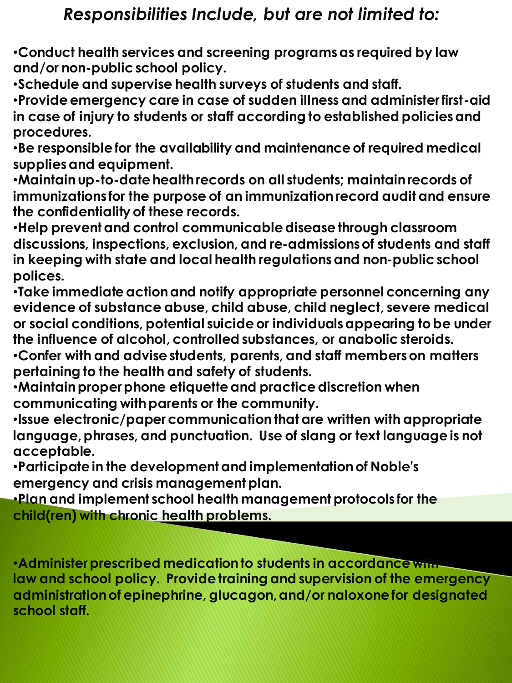#### *Responsibilities Include, but are not limited to:*

•**Conduct health services and screening programs as required by law and/or non-public school policy.**

•**Schedule and supervise health surveys of students and staff.**

•**Provide emergency care in case of sudden illness and administer first-aid in case of injury to students or staff according to established policies and procedures.**

•**Be responsible for the availability and maintenance of required medical supplies and equipment.**

•**Maintain up-to-date health records on all students; maintain records of immunizations for the purpose of an immunization record audit and ensure the confidentiality of these records.**

•**Help prevent and control communicable disease through classroom discussions, inspections, exclusion, and re-admissions of students and staff in keeping with state and local health regulations and non-public school polices.**

•**Take immediate action and notify appropriate personnel concerning any evidence of substance abuse, child abuse, child neglect, severe medical or social conditions, potential suicide or individuals appearing to be under the influence of alcohol, controlled substances, or anabolic steroids.**

•**Confer with and advise students, parents, and staff members on matters pertaining to the health and safety of students.**

•**Maintain proper phone etiquette and practice discretion when communicating with parents or the community.**

•**Issue electronic/paper communication that are written with appropriate language, phrases, and punctuation. Use of slang or text language is not acceptable.**

•**Participate in the development and implementation of Noble's emergency and crisis management plan.**

•**Plan and implement school health management protocols for the child(ren) with chronic health problems.**

•**Administer prescribed medication to students in accordance with law and school policy. Provide training and supervision of the emergency administration of epinephrine, glucagon, and/or naloxone for designated school staff.**